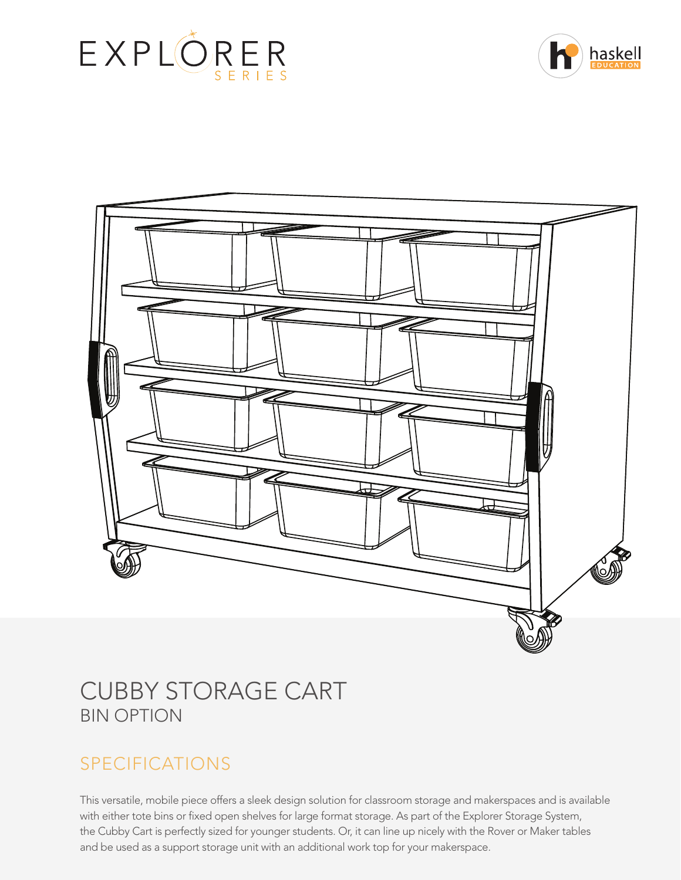





# CUBBY STORAGE CART BIN OPTION

# SPECIFICATIONS

This versatile, mobile piece offers a sleek design solution for classroom storage and makerspaces and is available with either tote bins or fixed open shelves for large format storage. As part of the Explorer Storage System, the Cubby Cart is perfectly sized for younger students. Or, it can line up nicely with the Rover or Maker tables and be used as a support storage unit with an additional work top for your makerspace.